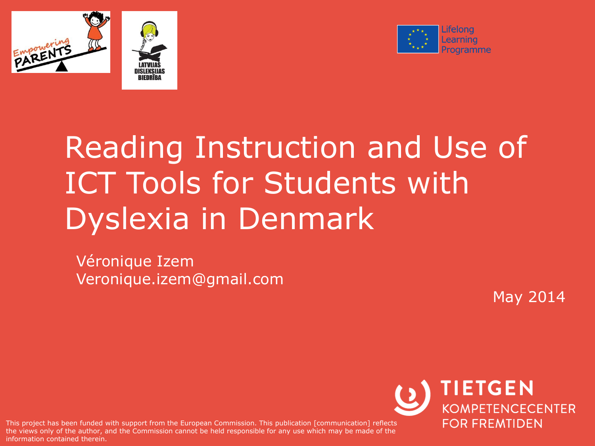





# Reading Instruction and Use of ICT Tools for Students with Dyslexia in Denmark

Véronique Izem Veronique.izem@gmail.com

May 2014

are views only of the duthor, and This project has been funded with support from the European Commission. This publication [communication] reflects the views only of the author, and the Commission cannot be held responsible for any use which may be made of the

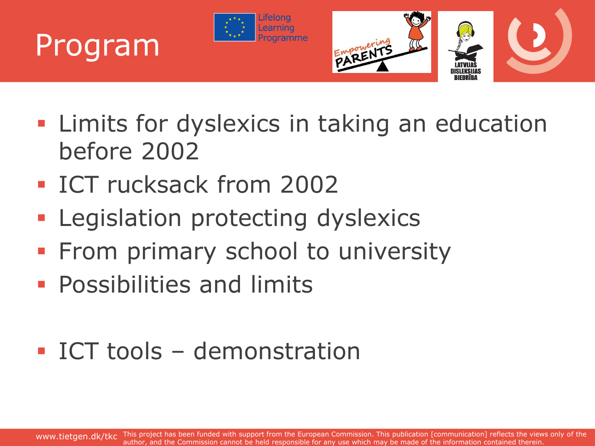



- **EXTE:** Limits for dyslexics in taking an education before 2002
- **ICT rucksack from 2002**

Program

- **Legislation protecting dyslexics**
- **From primary school to university**
- **Possibilities and limits**

#### ICT tools – demonstration

www.tietgen.dk/tkc This project has been funded with support from the European Commission. This publication [communication] reflects the views only of the author, and the Commission cannot be held responsible for any use which may be made of the information contained therein.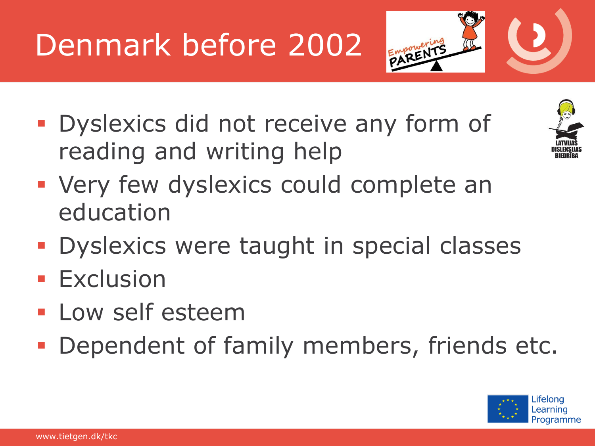# Denmark before 2002



**• Dyslexics did not receive any form of** reading and writing help



- **Very few dyslexics could complete an** education
- **Dyslexics were taught in special classes**
- **Exclusion**
- **Low self esteem**
- **Dependent of family members, friends etc.**

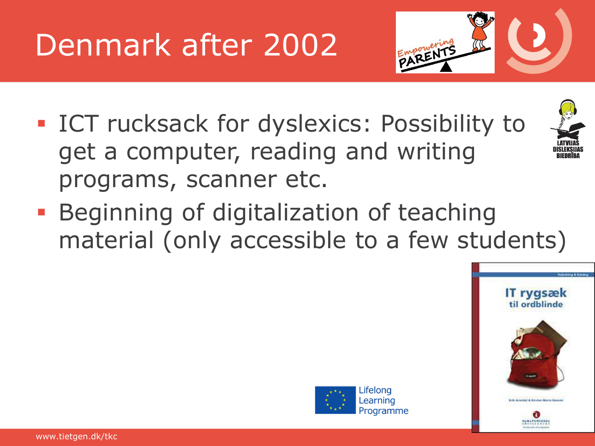# Denmark after 2002



- **ICT rucksack for dyslexics: Possibility to** get a computer, reading and writing programs, scanner etc.
- **Beginning of digitalization of teaching** material (only accessible to a few students)



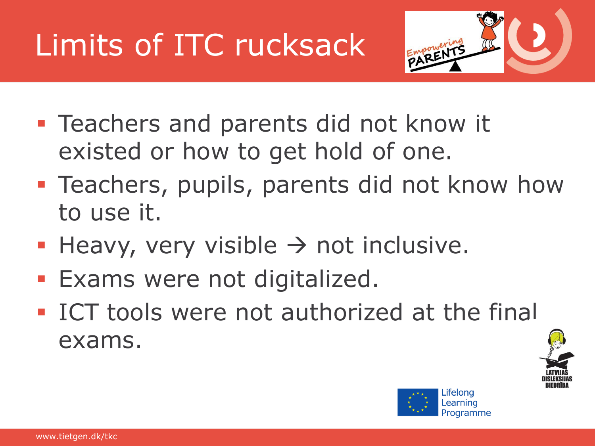# Limits of ITC rucksack



- **Teachers and parents did not know it** existed or how to get hold of one.
- **Teachers, pupils, parents did not know how** to use it.
- Heavy, very visible  $\rightarrow$  not inclusive.
- **Exams were not digitalized.**
- **ICT tools were not authorized at the final** exams.



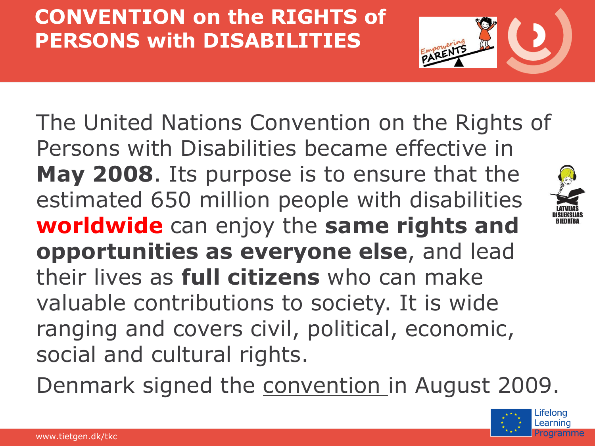#### **CONVENTION on the RIGHTS of PERSONS with DISABILITIES**



The United Nations Convention on the Rights of Persons with Disabilities became effective in **May 2008**. Its purpose is to ensure that the estimated 650 million people with disabilities **worldwide** can enjoy the **same rights and opportunities as everyone else**, and lead their lives as **full citizens** who can make valuable contributions to society. It is wide ranging and covers civil, political, economic, social and cultural rights.

Denmark signed the [convention i](http://www.un.org/disabilities/convention/conventionfull.shtml)n August 2009.

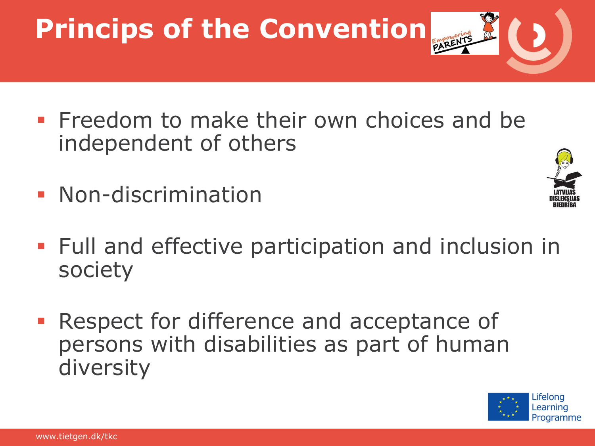# **Princips of the Convention**

- **Freedom to make their own choices and be** independent of others
- **Non-discrimination**



- **Full and effective participation and inclusion in** society
- **Respect for difference and acceptance of** persons with disabilities as part of human diversity

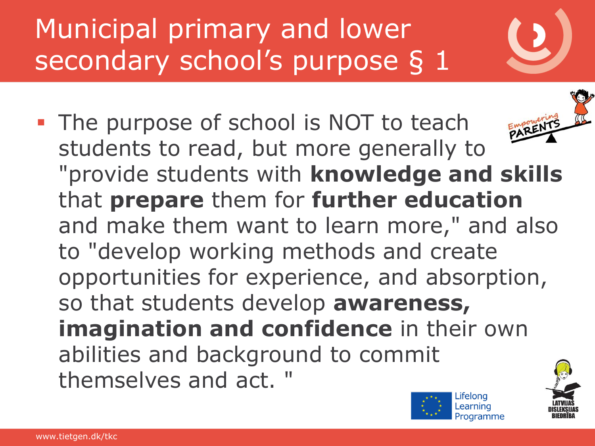## Municipal primary and lower secondary school's purpose § 1

• The purpose of school is NOT to teach students to read, but more generally to "provide students with **knowledge and skills**  that **prepare** them for **further education**  and make them want to learn more," and also to "develop working methods and create opportunities for experience, and absorption, so that students develop **awareness, imagination and confidence** in their own abilities and background to commit themselves and act. "

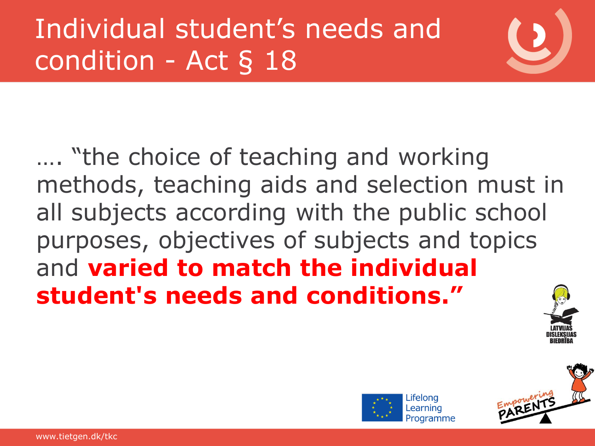## Individual student's needs and condition - Act § 18

#### …. "the choice of teaching and working methods, teaching aids and selection must in all subjects according with the public school purposes, objectives of subjects and topics and **varied to match the individual student's needs and conditions."**



mpowerin<br>ARENT

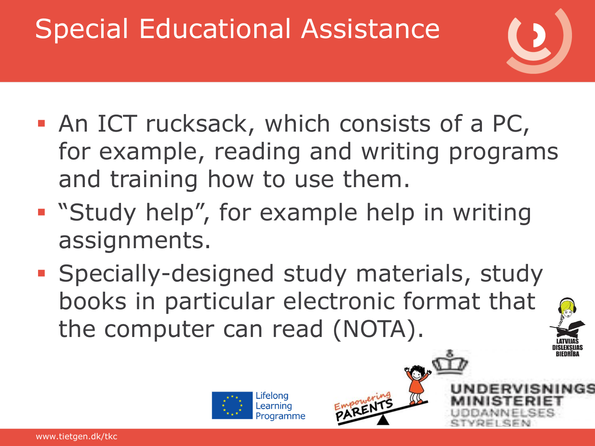## Special Educational Assistance



- An ICT rucksack, which consists of a PC, for example, reading and writing programs and training how to use them.
- **Study help", for example help in writing** assignments.
- **Specially-designed study materials, study** books in particular electronic format that the computer can read (NOTA).





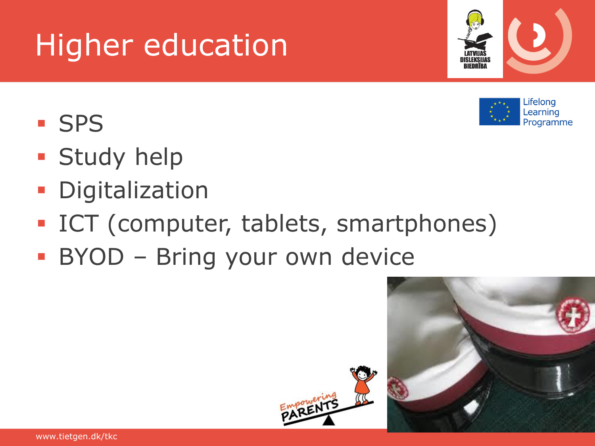## Higher education

- **SPS**
- **Study help**
- **Digitalization**
- **ICT** (computer, tablets, smartphones)
- **BYOD Bring your own device**





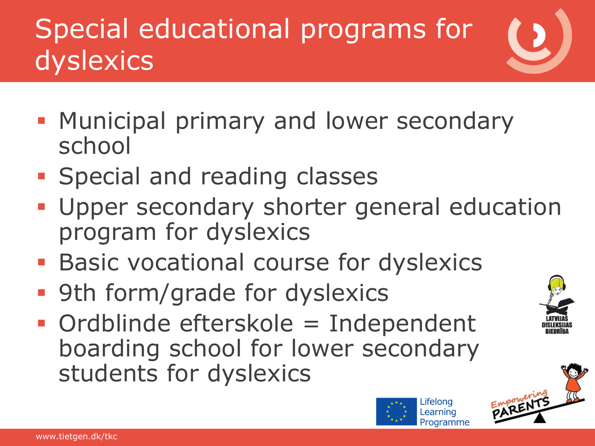## Special educational programs for dyslexics

- **Municipal primary and lower secondary** school
- **Special and reading classes**
- **Upper secondary shorter general education** program for dyslexics
- **Basic vocational course for dyslexics**
- **9th form/grade for dyslexics**
- Ordblinde efterskole = Independent boarding school for lower secondary students for dyslexics





Lifelona Learning Programme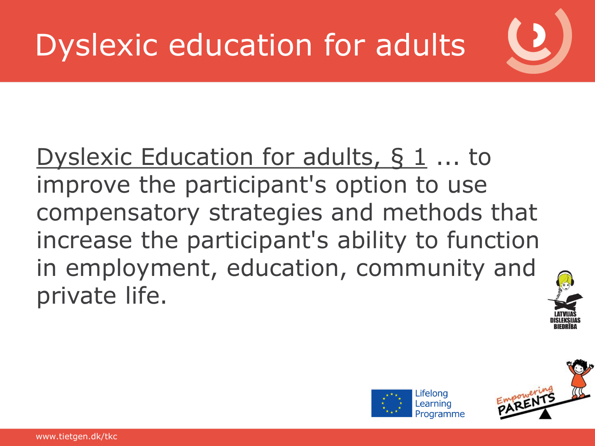#### [Dyslexic Education for adults, §](https://www.retsinformation.dk/Forms/R0710.aspx?id=25011) [1](https://www.retsinformation.dk/Forms/R0710.aspx?id=25011) ... to improve the participant's option to use compensatory strategies and methods that increase the participant's ability to function in employment, education, community and private life.



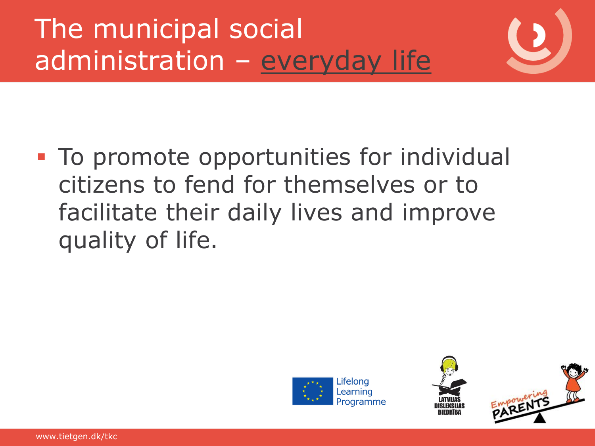#### The municipal social administration – [everyday life](http://www.hokbh.dk/hjaelpemidler/stoettelovgivning/Oversigt/#beskæftigelse)







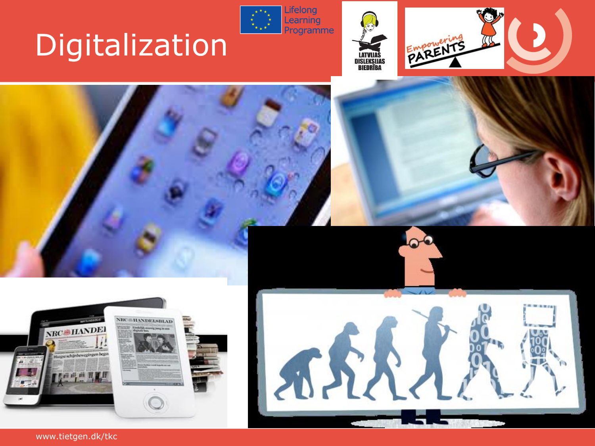# Digitalization







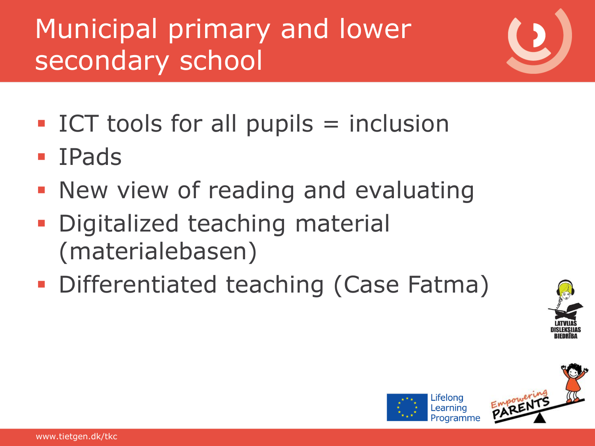## Municipal primary and lower secondary school

- ICT tools for all pupils  $=$  inclusion
- **IPads**
- **New view of reading and evaluating**
- **Digitalized teaching material** (materialebasen)
- **Differentiated teaching (Case Fatma)**



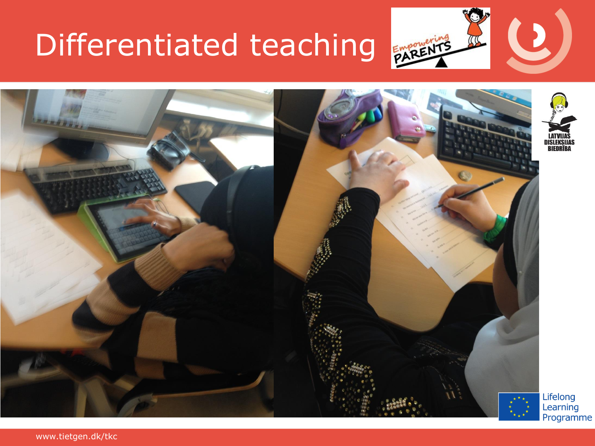## Differentiated teaching



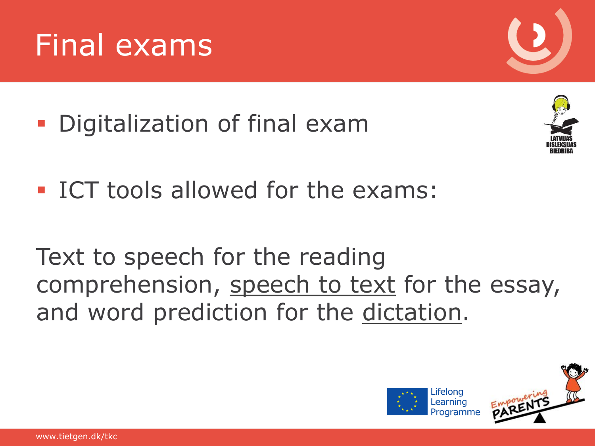**• Digitalization of final exam** 

**ICT tools allowed for the exams:** 

Text to speech for the reading comprehension, [speech to text](http://www.uvm.dk/Uddannelser-og-dagtilbud/Folkeskolen/Afsluttende-proever/~/media/UVM/Filer/Udd/Folke/PDF12/Afsluttende proever/121126 Vejledning om fravigelse af bestemmelserne ved folkeskolens afsluttende proever 26 nov.ashx) for the essay, and word prediction for the [dictation](http://www.folkeskolen.dk/539379/ordblinde-kan-faa-it-hjaelp-til-retskrivningsproeven).







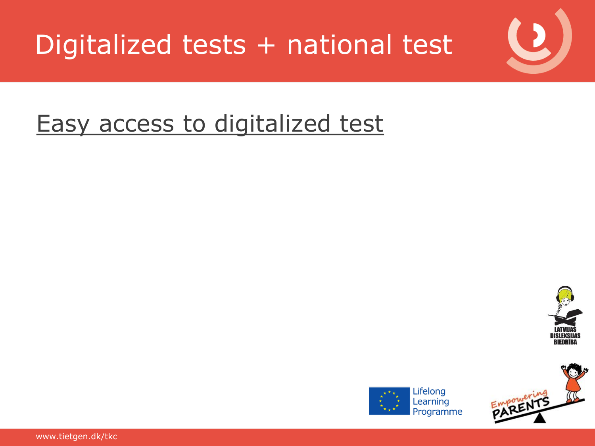

#### [Easy access to digitalized test](https://testogprøver.dk/)



Empowering



Learning Programme

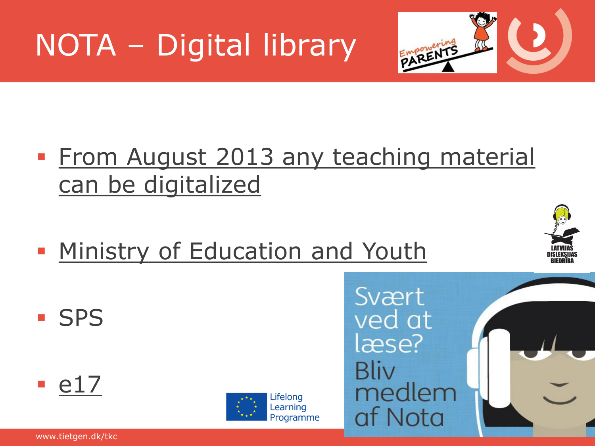# NOTA – Digital library



- **[From August 2013 any](http://www.nota.nu/nota-skal-producere-studieboeger-0) [teaching](http://www.nota.nu/nota-skal-producere-studieboeger-0) [material](http://www.nota.nu/nota-skal-producere-studieboeger-0)** [can](http://www.nota.nu/nota-skal-producere-studieboeger-0) [be](http://www.nota.nu/nota-skal-producere-studieboeger-0) [digitalized](http://www.nota.nu/nota-skal-producere-studieboeger-0)
- **[Ministry](http://uvm.dk/Uddannelser/Folkeskolen/I-fokus/Oeget-anvendelse-af-it-i-folkeskolen/Puljen-til-digitale-laeremidler?smarturl404=true) [of Education and Youth](http://uvm.dk/Uddannelser/Folkeskolen/I-fokus/Oeget-anvendelse-af-it-i-folkeskolen/Puljen-til-digitale-laeremidler?smarturl404=true)**



**SPS** 





Lifelong Learning Programme

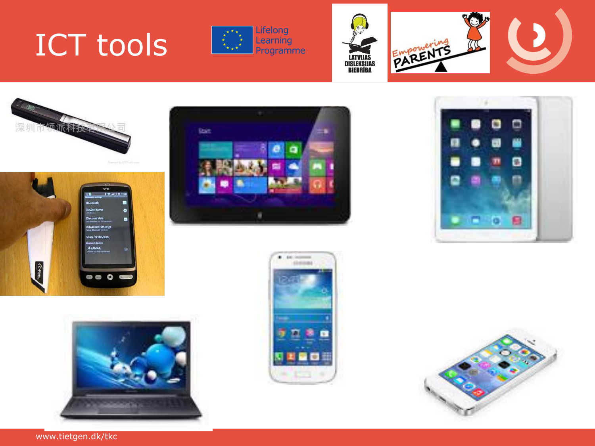## ICT tools











**COLOR** 









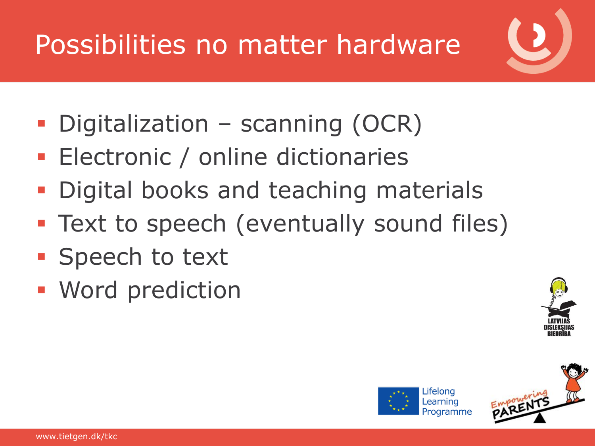## Possibilities no matter hardware

- Digitalization scanning (OCR)
- **Electronic / online dictionaries**
- Digital books and teaching materials
- **Text to speech (eventually sound files)**
- **Speech to text**
- Word prediction





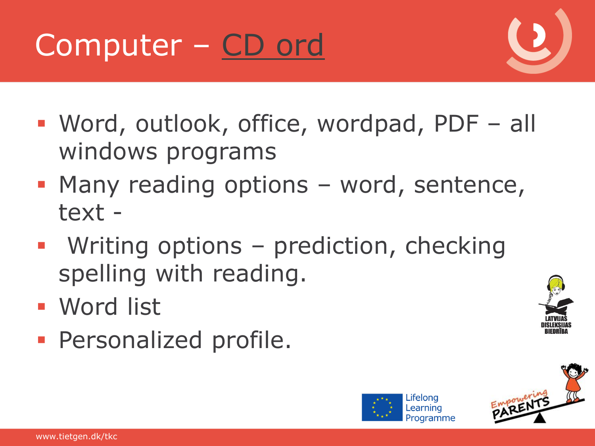

- Word, outlook, office, wordpad, PDF all windows programs
- **Many reading options word, sentence,** text -
- **Writing options prediction, checking** spelling with reading.
- Word list
- **Personalized profile.**



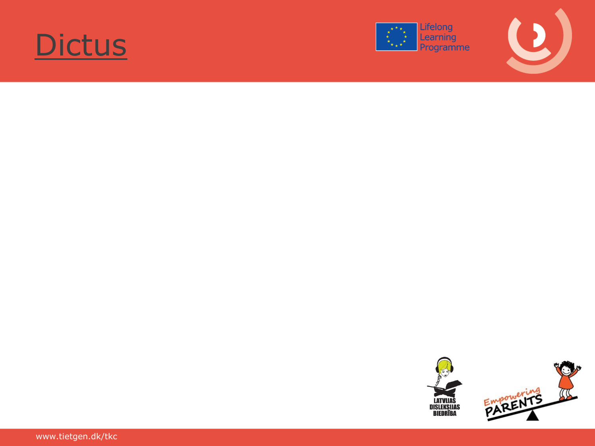





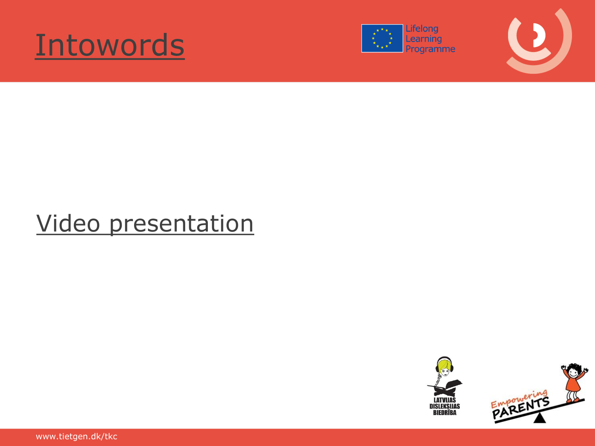





#### [Video presentation](https://www.youtube.com/watch?v=RijTRaZraMU)



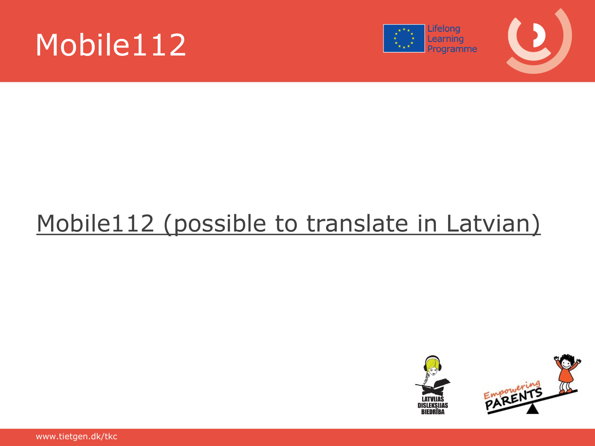





#### [Mobile112 \(possible](http://www.mobile112.info/Mobile112/Start.html) [to translate](http://www.mobile112.info/Mobile112/Start.html) [in Latvian\)](http://www.mobile112.info/Mobile112/Start.html)

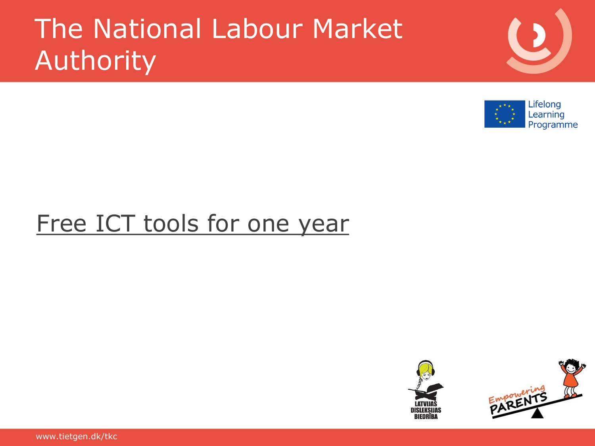#### The National Labour Market Authority



#### [Free ICT tools for one year](http://ams.dk/da/It/Borger-og-virkersomhedsvendt-it/Digitale-hjaelpevaerktoejer.aspx)



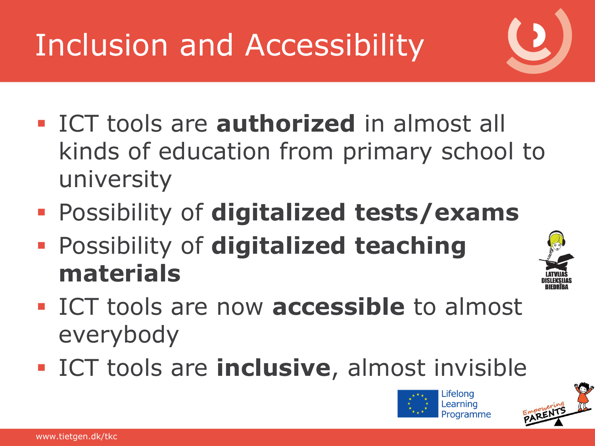# Inclusion and Accessibility

- ICT tools are **authorized** in almost all kinds of education from primary school to university
- Possibility of **digitalized tests/exams**
- Possibility of **digitalized teaching materials**



- **ICT tools are now accessible to almost** everybody
- **ICT tools are inclusive**, almost invisible



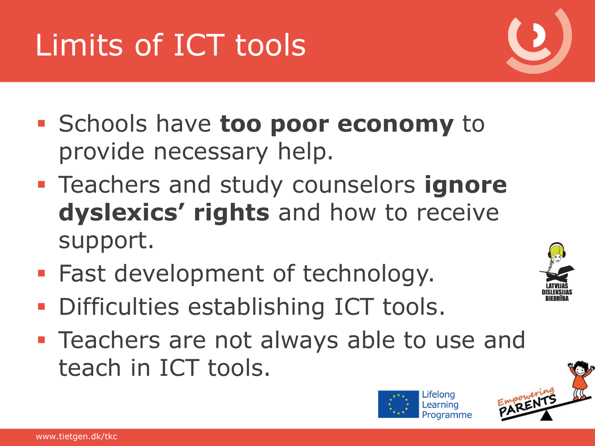#### provide necessary help.

 Teachers and study counselors **ignore dyslexics' rights** and how to receive support.

Schools have **too poor economy** to

- **Fast development of technology.**
- **Difficulties establishing ICT tools.**
- **Teachers are not always able to use and** teach in ICT tools.

# Limits of ICT tools





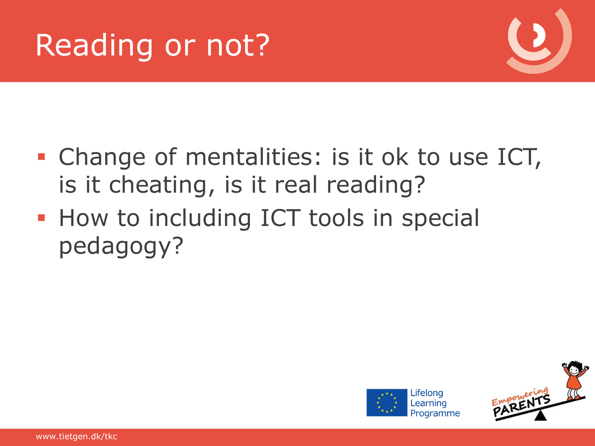



- **Change of mentalities: is it ok to use ICT,** is it cheating, is it real reading?
- **How to including ICT tools in special** pedagogy?



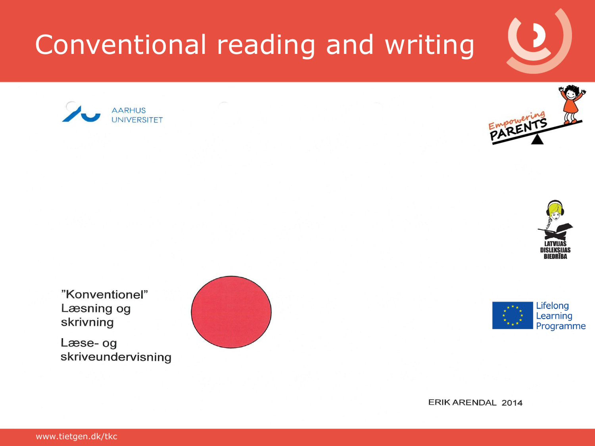## Conventional reading and writing







"Konventionel" Læsning og skrivning

Læse- og skriveundervisning





ERIK ARENDAL 2014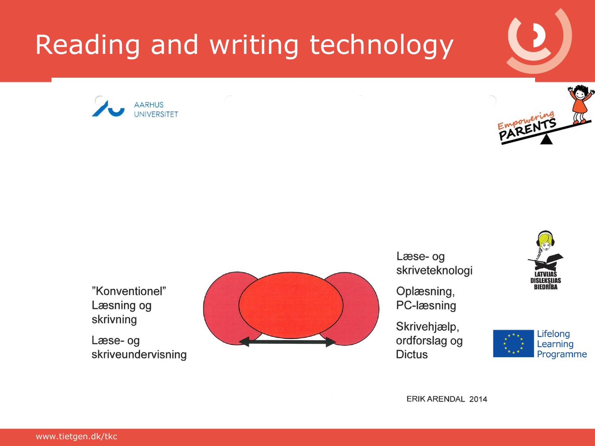#### Reading and writing technology





"Konventionel" Læsning og skrivning

Læse- og skriveundervisning



Læse- og skriveteknologi

Oplæsning, PC-læsning

Skrivehjælp, ordforslag og **Dictus** 





ERIK ARENDAL 2014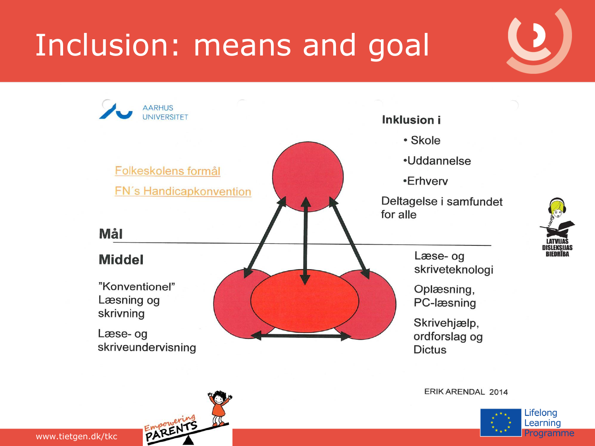# Inclusion: means and goal



ERIK ARENDAL 2014



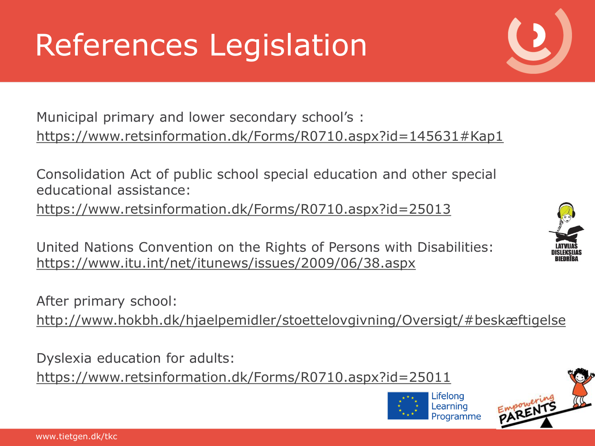# References Legislation

Municipal primary and lower secondary school's : <https://www.retsinformation.dk/Forms/R0710.aspx?id=145631#Kap1>

Consolidation Act of public school special education and other special educational assistance:

<https://www.retsinformation.dk/Forms/R0710.aspx?id=25013>

United Nations Convention on the Rights of Persons with Disabilities: <https://www.itu.int/net/itunews/issues/2009/06/38.aspx>

After primary school:

<http://www.hokbh.dk/hjaelpemidler/stoettelovgivning/Oversigt/#beskæftigelse>

Dyslexia education for adults:

<https://www.retsinformation.dk/Forms/R0710.aspx?id=25011>





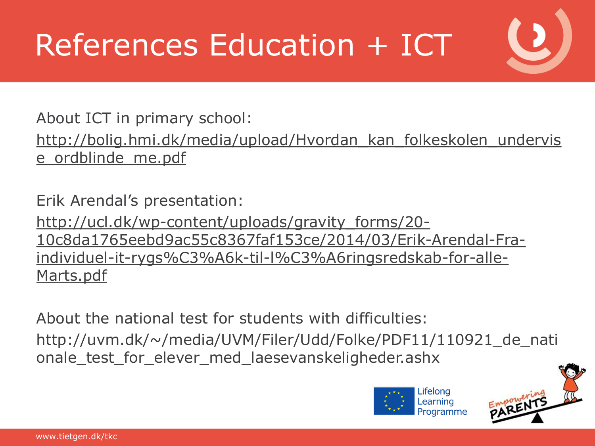# References Education + ICT

About ICT in primary school: [http://bolig.hmi.dk/media/upload/Hvordan\\_kan\\_folkeskolen\\_undervis](http://bolig.hmi.dk/media/upload/Hvordan_kan_folkeskolen_undervise_ordblinde_me.pdf) e ordblinde me.pdf

Erik Arendal's presentation: [http://ucl.dk/wp-content/uploads/gravity\\_forms/20-](http://ucl.dk/wp-content/uploads/gravity_forms/20-10c8da1765eebd9ac55c8367faf153ce/2014/03/Erik-Arendal-Fra-individuel-it-rygs%C3%A6k-til-l%C3%A6ringsredskab-for-alle-Marts.pdf) [10c8da1765eebd9ac55c8367faf153ce/2014/03/Erik-Arendal-Fra](http://ucl.dk/wp-content/uploads/gravity_forms/20-10c8da1765eebd9ac55c8367faf153ce/2014/03/Erik-Arendal-Fra-individuel-it-rygs%C3%A6k-til-l%C3%A6ringsredskab-for-alle-Marts.pdf)[individuel-it-rygs%C3%A6k-til-l%C3%A6ringsredskab-for-alle-](http://ucl.dk/wp-content/uploads/gravity_forms/20-10c8da1765eebd9ac55c8367faf153ce/2014/03/Erik-Arendal-Fra-individuel-it-rygs%C3%A6k-til-l%C3%A6ringsredskab-for-alle-Marts.pdf)[Marts.pdf](http://ucl.dk/wp-content/uploads/gravity_forms/20-10c8da1765eebd9ac55c8367faf153ce/2014/03/Erik-Arendal-Fra-individuel-it-rygs%C3%A6k-til-l%C3%A6ringsredskab-for-alle-Marts.pdf)

About the national test for students with difficulties: http://uvm.dk/~/media/UVM/Filer/Udd/Folke/PDF11/110921\_de\_nati onale\_test\_for\_elever\_med\_laesevanskeligheder.ashx



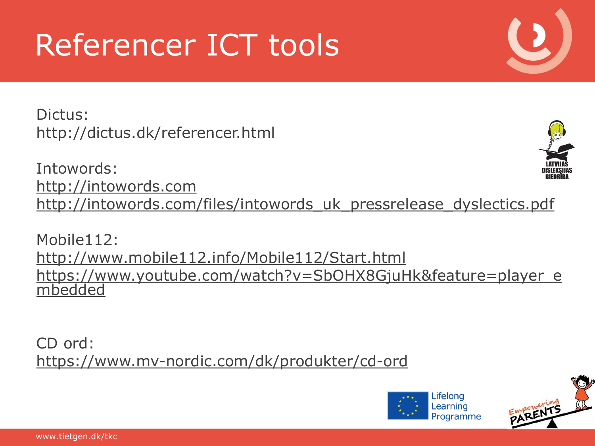# Referencer ICT tools

Dictus: http://dictus.dk/referencer.html

Intowords: [http://intowords.com](http://intowords.com/) [http://intowords.com/files/intowords\\_uk\\_pressrelease\\_dyslectics.pdf](http://intowords.com/files/intowords_uk_pressrelease_dyslectics.pdf)

Mobile112: <http://www.mobile112.info/Mobile112/Start.html> [https://www.youtube.com/watch?v=SbOHX8GjuHk&feature=player\\_e](https://www.youtube.com/watch?v=SbOHX8GjuHk&feature=player_embedded) [mbedded](https://www.youtube.com/watch?v=SbOHX8GjuHk&feature=player_embedded)

CD ord: <https://www.mv-nordic.com/dk/produkter/cd-ord>